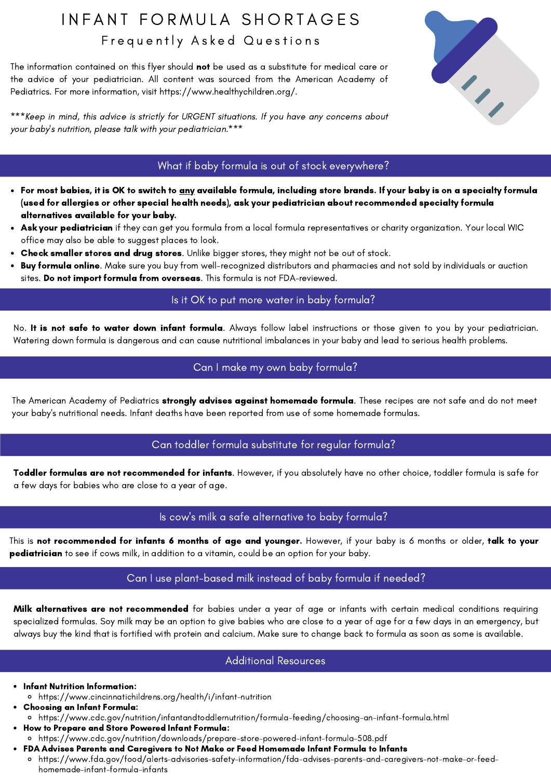## IN FANT FORMULA SHORTAGES Frequently Asked Questions

The information contained on this flyer should not be used as a substitute for medical care or the advice of your pediatrician. All content was sourced from the American Academy of Pediatrics. For more information, visit https://www.healthychildren.org/.

\*\*\*Keep in mind, this advice is strictly for URGENT situations. If you have any concerns about your baby's nutrition, please talk with your pediatrician.\*\*\*

# 

### What if baby formula is out of stock everywhere?

- For most babies, it is OK to switch to <u>any</u> available formula, including store brands. If your baby is on a specialty formula (used for allergies or other special health needs), ask your pediatrician about recommended specialty formula alternatives available for your baby.
- Ask your pediatrician if they can get you formula from a local formula [representatives](http://signupwic.com/) or charity organization. Your local WIC office may also be able to suggest places to look.
- Check smaller stores and drug stores. Unlike bigger stores, they might not be out of stock.
- Buy formula online. Make sure you buy from well-recognized distributors and pharmacies and not sold by individuals or auction  $\bullet$ sites. Do not import f[ormula](https://www.healthychildren.org/English/tips-tools/ask-the-pediatrician/Pages/Is-it-OK-to-buy-imported-formulas-online.aspx) from overseas. This formula is not [FDA-](https://www.fda.gov/food/people-risk-foodborne-illness/questions-answers-consumers-concerning-infant-formula)reviewed.

### Is it OK to put more water in baby formula?

No. It is not safe to water down infant formula. Always follow label instructions or those given to you by your pediatrician. Watering down formula is dangerous and can cause nutritional imbalances in your baby and lead to serious health problems.

### Can I make my own baby formula?

The American Academy of Pediatrics strongly advises against [homemade](https://www.healthychildren.org/English/ages-stages/baby/formula-feeding/Pages/Is-Homemade-Baby-Formula-Safe.aspx) formula. These recipes are not safe and do not meet your baby's nutritional needs. Infant deaths have been reported from use of some homemade formulas.

### Can toddler formula substitute for regular formula?

Toddler formulas are not recommended for infants. However, if you absolutely have no other choice, toddler formula is safe for a few days for babies who are close to a year of age.

### Is cow's milk a safe alternative to baby formula?

This is not recommended for infants 6 months of age and younger. However, if your baby is 6 months or older, talk to your pediatrician to see if cows milk, in addition to a vitamin, could be an option for your baby.

### Can I use plant-based milk instead of baby formula if needed?

Milk alternatives are not recommended for babies under a year of age or infants with certain medical conditions requiring specialized formulas. Soy milk may be an option to give babies who are close to a year of age for a few days in an emergency, but always buy the kind that is fortified with protein and calcium. Make sure to change back to formula as soon as some is available.

### Additional Resources

Infant Nutrition Information:

- https://www.cincinnatichildrens.org/health/i/infant-nutrition
- Choosing an Infant Formula: https://www.cdc.gov/nutrition/infantandtoddlernutrition/formula-feeding/choosing-an-infant-formula.html
- How to Prepare and Store Powered Infant Formula: https://www.cdc.gov/nutrition/downloads/prepare-store-powered-infant-formula-508.pdf
- FDA Advises Parents and Caregivers to Not Make or Feed Homemade Infant Formula to Infants
- https://www.fda.gov/food/alerts-advisories-safety-information/fda-advises-parents-and-caregivers-not-make-or-feedhomemade-infant-formula-infants